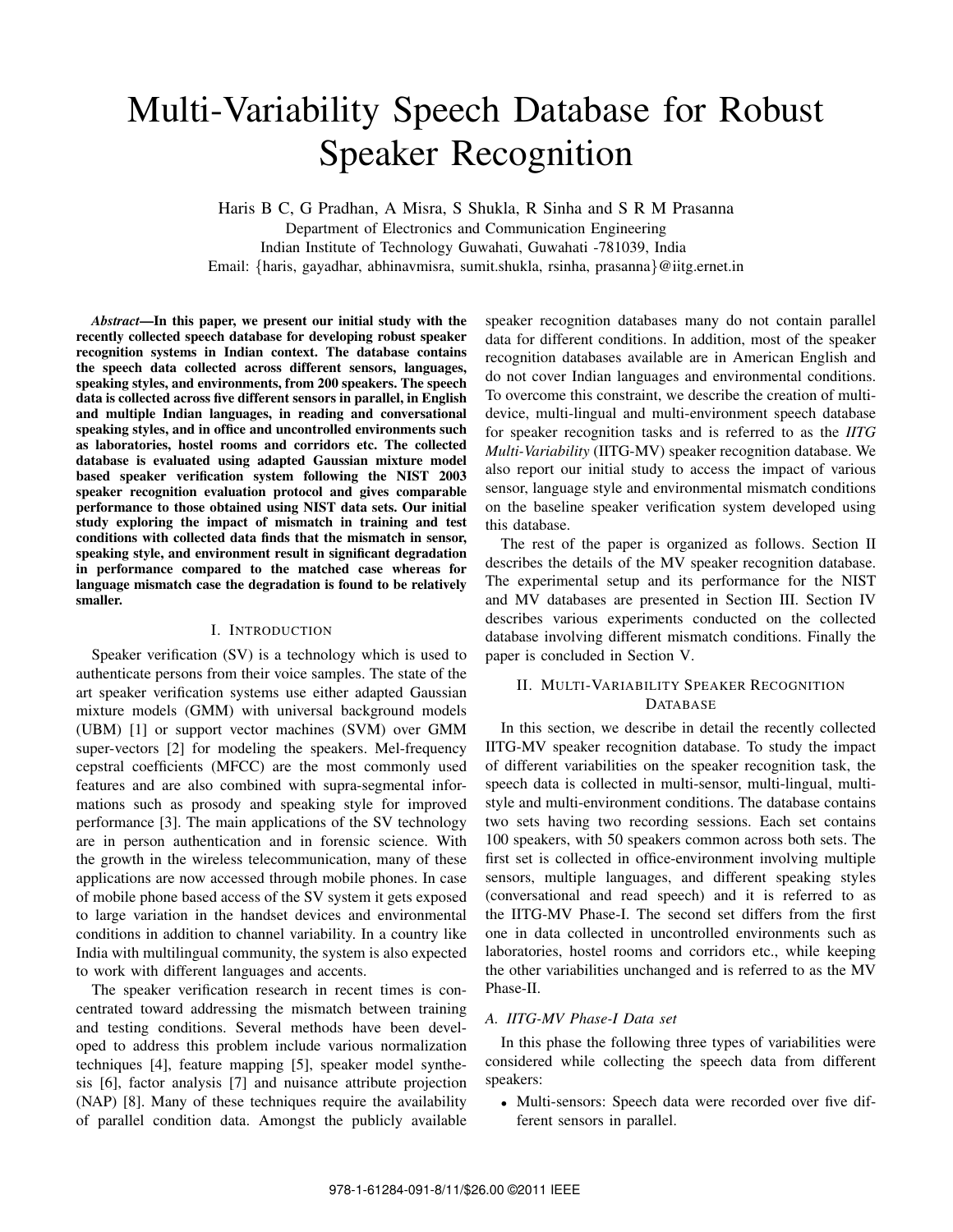# Multi-Variability Speech Database for Robust Speaker Recognition

Haris B C, G Pradhan, A Misra, S Shukla, R Sinha and S R M Prasanna Department of Electronics and Communication Engineering Indian Institute of Technology Guwahati, Guwahati -781039, India Email: {haris, gayadhar, abhinavmisra, sumit.shukla, rsinha, prasanna}@iitg.ernet.in

*Abstract*—In this paper, we present our initial study with the recently collected speech database for developing robust speaker recognition systems in Indian context. The database contains the speech data collected across different sensors, languages, speaking styles, and environments, from 200 speakers. The speech data is collected across five different sensors in parallel, in English and multiple Indian languages, in reading and conversational speaking styles, and in office and uncontrolled environments such as laboratories, hostel rooms and corridors etc. The collected database is evaluated using adapted Gaussian mixture model based speaker verification system following the NIST 2003 speaker recognition evaluation protocol and gives comparable performance to those obtained using NIST data sets. Our initial study exploring the impact of mismatch in training and test conditions with collected data finds that the mismatch in sensor, speaking style, and environment result in significant degradation in performance compared to the matched case whereas for language mismatch case the degradation is found to be relatively smaller.

## I. INTRODUCTION

Speaker verification (SV) is a technology which is used to authenticate persons from their voice samples. The state of the art speaker verification systems use either adapted Gaussian mixture models (GMM) with universal background models (UBM) [1] or support vector machines (SVM) over GMM super-vectors [2] for modeling the speakers. Mel-frequency cepstral coefficients (MFCC) are the most commonly used features and are also combined with supra-segmental informations such as prosody and speaking style for improved performance [3]. The main applications of the SV technology are in person authentication and in forensic science. With the growth in the wireless telecommunication, many of these applications are now accessed through mobile phones. In case of mobile phone based access of the SV system it gets exposed to large variation in the handset devices and environmental conditions in addition to channel variability. In a country like India with multilingual community, the system is also expected to work with different languages and accents.

The speaker verification research in recent times is concentrated toward addressing the mismatch between training and testing conditions. Several methods have been developed to address this problem include various normalization techniques [4], feature mapping [5], speaker model synthesis [6], factor analysis [7] and nuisance attribute projection (NAP) [8]. Many of these techniques require the availability of parallel condition data. Amongst the publicly available speaker recognition databases many do not contain parallel data for different conditions. In addition, most of the speaker recognition databases available are in American English and do not cover Indian languages and environmental conditions. To overcome this constraint, we describe the creation of multidevice, multi-lingual and multi-environment speech database for speaker recognition tasks and is referred to as the *IITG Multi-Variability* (IITG-MV) speaker recognition database. We also report our initial study to access the impact of various sensor, language style and environmental mismatch conditions on the baseline speaker verification system developed using this database.

The rest of the paper is organized as follows. Section II describes the details of the MV speaker recognition database. The experimental setup and its performance for the NIST and MV databases are presented in Section III. Section IV describes various experiments conducted on the collected database involving different mismatch conditions. Finally the paper is concluded in Section V.

# II. MULTI-VARIABILITY SPEAKER RECOGNITION DATABASE

In this section, we describe in detail the recently collected IITG-MV speaker recognition database. To study the impact of different variabilities on the speaker recognition task, the speech data is collected in multi-sensor, multi-lingual, multistyle and multi-environment conditions. The database contains two sets having two recording sessions. Each set contains 100 speakers, with 50 speakers common across both sets. The first set is collected in office-environment involving multiple sensors, multiple languages, and different speaking styles (conversational and read speech) and it is referred to as the IITG-MV Phase-I. The second set differs from the first one in data collected in uncontrolled environments such as laboratories, hostel rooms and corridors etc., while keeping the other variabilities unchanged and is referred to as the MV Phase-II.

## *A. IITG-MV Phase-I Data set*

In this phase the following three types of variabilities were considered while collecting the speech data from different speakers:

• Multi-sensors: Speech data were recorded over five different sensors in parallel.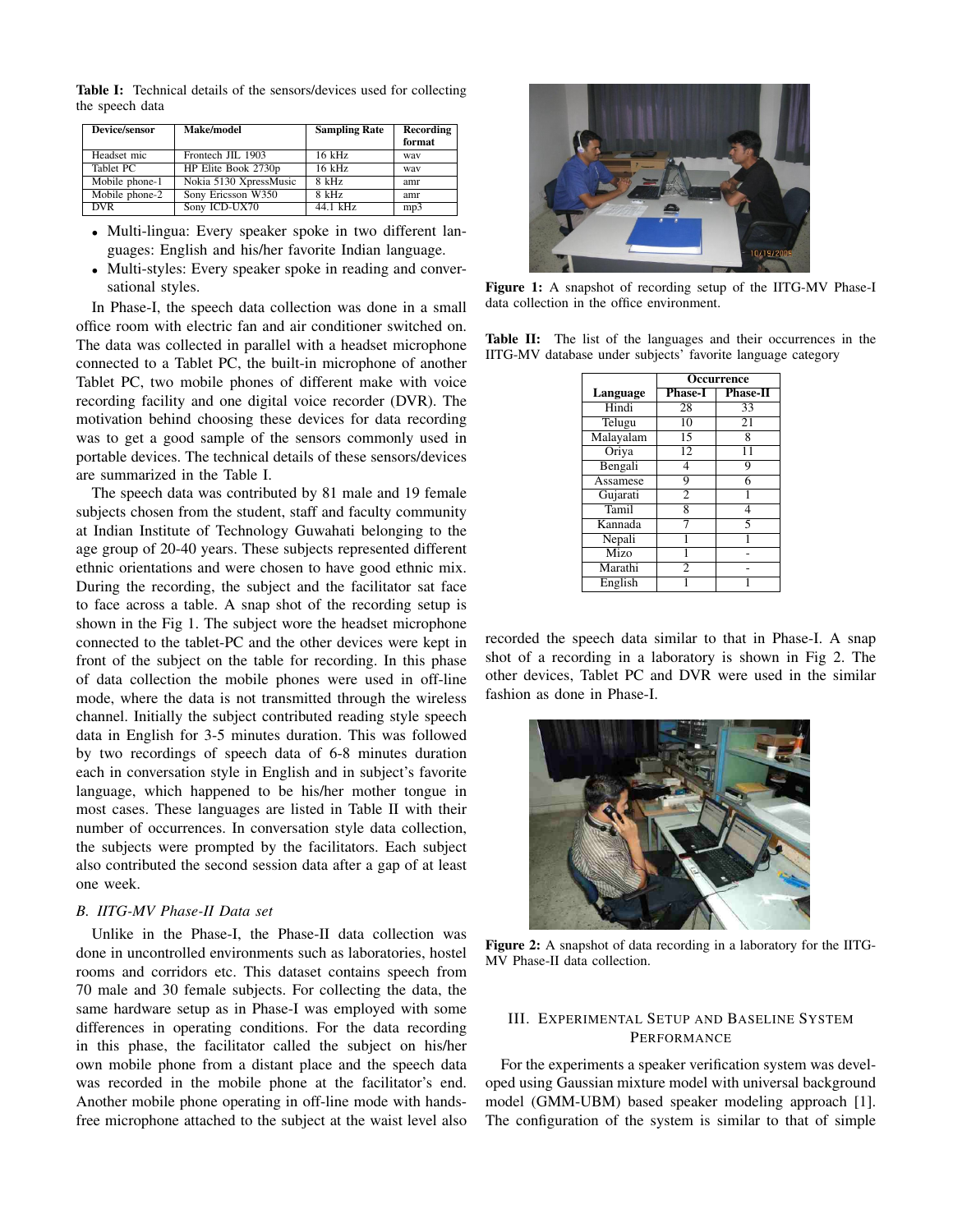Table I: Technical details of the sensors/devices used for collecting the speech data

| Device/sensor  | <b>Make/model</b>      | <b>Sampling Rate</b> | Recording |
|----------------|------------------------|----------------------|-----------|
|                |                        |                      | format    |
| Headset mic    | Frontech JIL 1903      | $16$ kHz             | way       |
| Tablet PC      | HP Elite Book 2730p    | $16$ kHz             | way       |
| Mobile phone-1 | Nokia 5130 XpressMusic | $8$ kHz              | amr       |
| Mobile phone-2 | Sony Ericsson W350     | 8 kHz                | amr       |
| <b>DVR</b>     | Sony ICD-UX70          | 44.1 kHz             | mp3       |

- Multi-lingua: Every speaker spoke in two different languages: English and his/her favorite Indian language.
- Multi-styles: Every speaker spoke in reading and conversational styles.

In Phase-I, the speech data collection was done in a small office room with electric fan and air conditioner switched on. The data was collected in parallel with a headset microphone connected to a Tablet PC, the built-in microphone of another Tablet PC, two mobile phones of different make with voice recording facility and one digital voice recorder (DVR). The motivation behind choosing these devices for data recording was to get a good sample of the sensors commonly used in portable devices. The technical details of these sensors/devices are summarized in the Table I.

The speech data was contributed by 81 male and 19 female subjects chosen from the student, staff and faculty community at Indian Institute of Technology Guwahati belonging to the age group of 20-40 years. These subjects represented different ethnic orientations and were chosen to have good ethnic mix. During the recording, the subject and the facilitator sat face to face across a table. A snap shot of the recording setup is shown in the Fig 1. The subject wore the headset microphone connected to the tablet-PC and the other devices were kept in front of the subject on the table for recording. In this phase of data collection the mobile phones were used in off-line mode, where the data is not transmitted through the wireless channel. Initially the subject contributed reading style speech data in English for 3-5 minutes duration. This was followed by two recordings of speech data of 6-8 minutes duration each in conversation style in English and in subject's favorite language, which happened to be his/her mother tongue in most cases. These languages are listed in Table II with their number of occurrences. In conversation style data collection, the subjects were prompted by the facilitators. Each subject also contributed the second session data after a gap of at least one week.

# *B. IITG-MV Phase-II Data set*

Unlike in the Phase-I, the Phase-II data collection was done in uncontrolled environments such as laboratories, hostel rooms and corridors etc. This dataset contains speech from 70 male and 30 female subjects. For collecting the data, the same hardware setup as in Phase-I was employed with some differences in operating conditions. For the data recording in this phase, the facilitator called the subject on his/her own mobile phone from a distant place and the speech data was recorded in the mobile phone at the facilitator's end. Another mobile phone operating in off-line mode with handsfree microphone attached to the subject at the waist level also



Figure 1: A snapshot of recording setup of the IITG-MV Phase-I data collection in the office environment.

Table II: The list of the languages and their occurrences in the IITG-MV database under subjects' favorite language category

|           | <b>Occurrence</b>        |                 |
|-----------|--------------------------|-----------------|
| Language  | <b>Phase-I</b>           | <b>Phase-II</b> |
| Hindi     | 28                       | 33              |
| Telugu    | 10                       | $\overline{2}1$ |
| Malayalam | 15                       | $\overline{8}$  |
| Oriya     | 12                       | $\overline{1}1$ |
| Bengali   | 4                        | 9               |
| Assamese  | 9                        | 6               |
| Gujarati  | $\overline{2}$           |                 |
| Tamil     | 8                        | 4               |
| Kannada   |                          | 5               |
| Nepali    |                          |                 |
| Mizo      |                          |                 |
| Marathi   | $\overline{\mathcal{L}}$ |                 |
| English   |                          |                 |

recorded the speech data similar to that in Phase-I. A snap shot of a recording in a laboratory is shown in Fig 2. The other devices, Tablet PC and DVR were used in the similar fashion as done in Phase-I.



Figure 2: A snapshot of data recording in a laboratory for the IITG-MV Phase-II data collection.

## III. EXPERIMENTAL SETUP AND BASELINE SYSTEM PERFORMANCE

For the experiments a speaker verification system was developed using Gaussian mixture model with universal background model (GMM-UBM) based speaker modeling approach [1]. The configuration of the system is similar to that of simple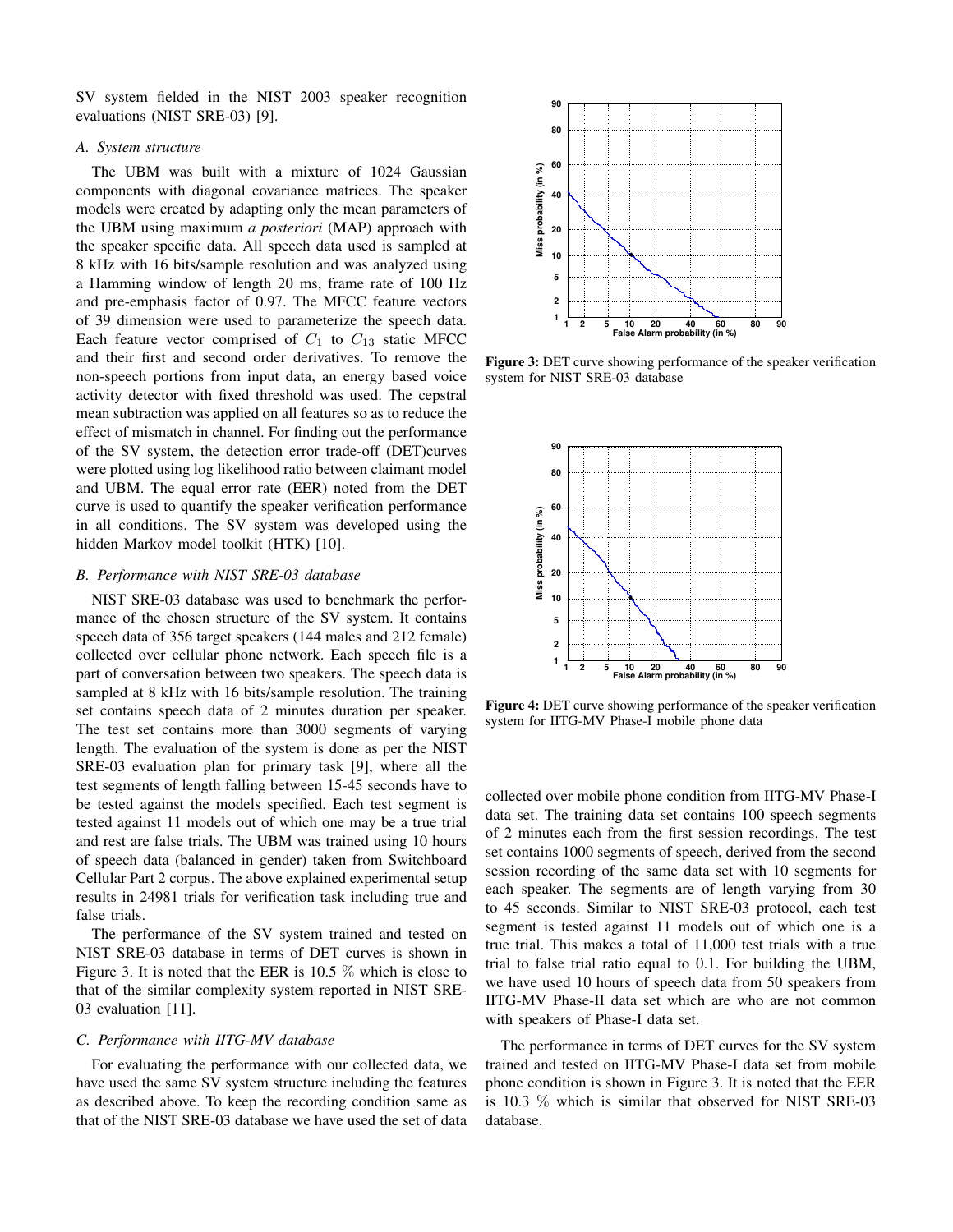SV system fielded in the NIST 2003 speaker recognition evaluations (NIST SRE-03) [9].

# *A. System structure*

The UBM was built with a mixture of 1024 Gaussian components with diagonal covariance matrices. The speaker models were created by adapting only the mean parameters of the UBM using maximum *a posteriori* (MAP) approach with the speaker specific data. All speech data used is sampled at 8 kHz with 16 bits/sample resolution and was analyzed using a Hamming window of length 20 ms, frame rate of 100 Hz and pre-emphasis factor of 0.97. The MFCC feature vectors of 39 dimension were used to parameterize the speech data. Each feature vector comprised of  $C_1$  to  $C_{13}$  static MFCC and their first and second order derivatives. To remove the non-speech portions from input data, an energy based voice activity detector with fixed threshold was used. The cepstral mean subtraction was applied on all features so as to reduce the effect of mismatch in channel. For finding out the performance of the SV system, the detection error trade-off (DET)curves were plotted using log likelihood ratio between claimant model and UBM. The equal error rate (EER) noted from the DET curve is used to quantify the speaker verification performance in all conditions. The SV system was developed using the hidden Markov model toolkit (HTK) [10].

# *B. Performance with NIST SRE-03 database*

NIST SRE-03 database was used to benchmark the performance of the chosen structure of the SV system. It contains speech data of 356 target speakers (144 males and 212 female) collected over cellular phone network. Each speech file is a part of conversation between two speakers. The speech data is sampled at 8 kHz with 16 bits/sample resolution. The training set contains speech data of 2 minutes duration per speaker. The test set contains more than 3000 segments of varying length. The evaluation of the system is done as per the NIST SRE-03 evaluation plan for primary task [9], where all the test segments of length falling between 15-45 seconds have to be tested against the models specified. Each test segment is tested against 11 models out of which one may be a true trial and rest are false trials. The UBM was trained using 10 hours of speech data (balanced in gender) taken from Switchboard Cellular Part 2 corpus. The above explained experimental setup results in 24981 trials for verification task including true and false trials.

The performance of the SV system trained and tested on NIST SRE-03 database in terms of DET curves is shown in Figure 3. It is noted that the EER is 10.5 % which is close to that of the similar complexity system reported in NIST SRE-03 evaluation [11].

## *C. Performance with IITG-MV database*

For evaluating the performance with our collected data, we have used the same SV system structure including the features as described above. To keep the recording condition same as that of the NIST SRE-03 database we have used the set of data



Figure 3: DET curve showing performance of the speaker verification system for NIST SRE-03 database



Figure 4: DET curve showing performance of the speaker verification system for IITG-MV Phase-I mobile phone data

collected over mobile phone condition from IITG-MV Phase-I data set. The training data set contains 100 speech segments of 2 minutes each from the first session recordings. The test set contains 1000 segments of speech, derived from the second session recording of the same data set with 10 segments for each speaker. The segments are of length varying from 30 to 45 seconds. Similar to NIST SRE-03 protocol, each test segment is tested against 11 models out of which one is a true trial. This makes a total of 11,000 test trials with a true trial to false trial ratio equal to 0.1. For building the UBM, we have used 10 hours of speech data from 50 speakers from IITG-MV Phase-II data set which are who are not common with speakers of Phase-I data set.

The performance in terms of DET curves for the SV system trained and tested on IITG-MV Phase-I data set from mobile phone condition is shown in Figure 3. It is noted that the EER is 10.3 % which is similar that observed for NIST SRE-03 database.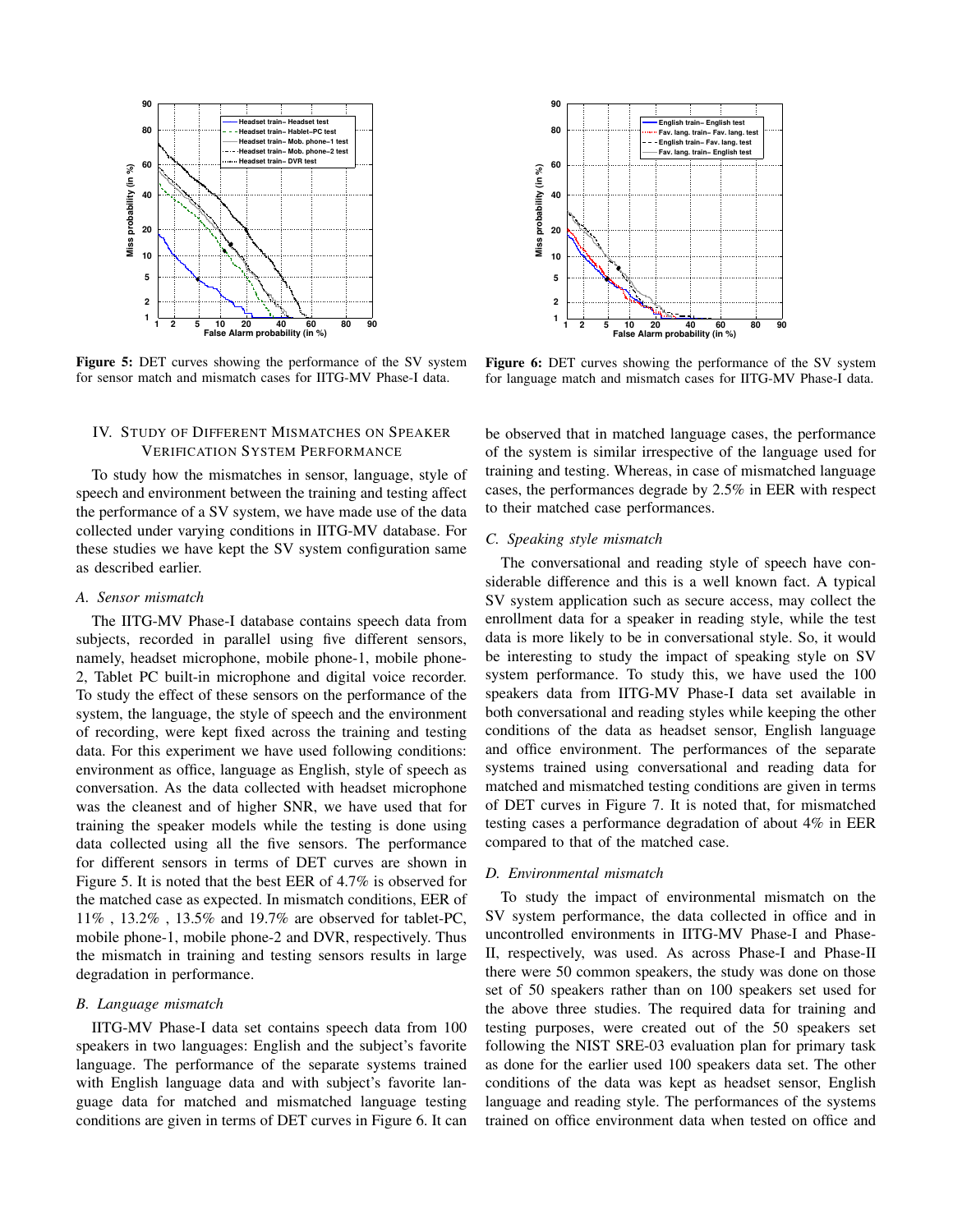

Figure 5: DET curves showing the performance of the SV system for sensor match and mismatch cases for IITG-MV Phase-I data.

# IV. STUDY OF DIFFERENT MISMATCHES ON SPEAKER VERIFICATION SYSTEM PERFORMANCE

To study how the mismatches in sensor, language, style of speech and environment between the training and testing affect the performance of a SV system, we have made use of the data collected under varying conditions in IITG-MV database. For these studies we have kept the SV system configuration same as described earlier.

## *A. Sensor mismatch*

The IITG-MV Phase-I database contains speech data from subjects, recorded in parallel using five different sensors, namely, headset microphone, mobile phone-1, mobile phone-2, Tablet PC built-in microphone and digital voice recorder. To study the effect of these sensors on the performance of the system, the language, the style of speech and the environment of recording, were kept fixed across the training and testing data. For this experiment we have used following conditions: environment as office, language as English, style of speech as conversation. As the data collected with headset microphone was the cleanest and of higher SNR, we have used that for training the speaker models while the testing is done using data collected using all the five sensors. The performance for different sensors in terms of DET curves are shown in Figure 5. It is noted that the best EER of 4.7% is observed for the matched case as expected. In mismatch conditions, EER of 11% , 13.2% , 13.5% and 19.7% are observed for tablet-PC, mobile phone-1, mobile phone-2 and DVR, respectively. Thus the mismatch in training and testing sensors results in large degradation in performance.

### *B. Language mismatch*

IITG-MV Phase-I data set contains speech data from 100 speakers in two languages: English and the subject's favorite language. The performance of the separate systems trained with English language data and with subject's favorite language data for matched and mismatched language testing conditions are given in terms of DET curves in Figure 6. It can



Figure 6: DET curves showing the performance of the SV system for language match and mismatch cases for IITG-MV Phase-I data.

be observed that in matched language cases, the performance of the system is similar irrespective of the language used for training and testing. Whereas, in case of mismatched language cases, the performances degrade by 2.5% in EER with respect to their matched case performances.

# *C. Speaking style mismatch*

The conversational and reading style of speech have considerable difference and this is a well known fact. A typical SV system application such as secure access, may collect the enrollment data for a speaker in reading style, while the test data is more likely to be in conversational style. So, it would be interesting to study the impact of speaking style on SV system performance. To study this, we have used the 100 speakers data from IITG-MV Phase-I data set available in both conversational and reading styles while keeping the other conditions of the data as headset sensor, English language and office environment. The performances of the separate systems trained using conversational and reading data for matched and mismatched testing conditions are given in terms of DET curves in Figure 7. It is noted that, for mismatched testing cases a performance degradation of about 4% in EER compared to that of the matched case.

## *D. Environmental mismatch*

To study the impact of environmental mismatch on the SV system performance, the data collected in office and in uncontrolled environments in IITG-MV Phase-I and Phase-II, respectively, was used. As across Phase-I and Phase-II there were 50 common speakers, the study was done on those set of 50 speakers rather than on 100 speakers set used for the above three studies. The required data for training and testing purposes, were created out of the 50 speakers set following the NIST SRE-03 evaluation plan for primary task as done for the earlier used 100 speakers data set. The other conditions of the data was kept as headset sensor, English language and reading style. The performances of the systems trained on office environment data when tested on office and